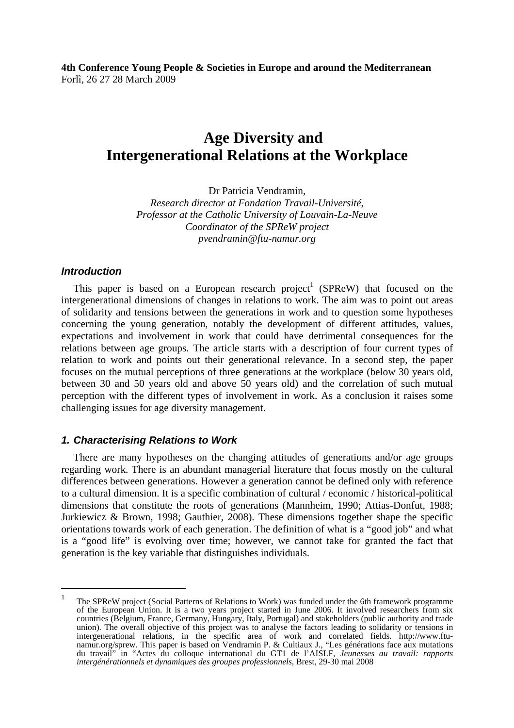**4th Conference Young People & Societies in Europe and around the Mediterranean**  Forlì, 26 27 28 March 2009

# **Age Diversity and Intergenerational Relations at the Workplace**

Dr Patricia Vendramin,

*Research director at Fondation Travail-Université, Professor at the Catholic University of Louvain-La-Neuve Coordinator of the SPReW project pvendramin@ftu-namur.org*

#### *Introduction*

 $\overline{\phantom{a}}$ 

This paper is based on a European research project<sup>1</sup> (SPReW) that focused on the intergenerational dimensions of changes in relations to work. The aim was to point out areas of solidarity and tensions between the generations in work and to question some hypotheses concerning the young generation, notably the development of different attitudes, values, expectations and involvement in work that could have detrimental consequences for the relations between age groups. The article starts with a description of four current types of relation to work and points out their generational relevance. In a second step, the paper focuses on the mutual perceptions of three generations at the workplace (below 30 years old, between 30 and 50 years old and above 50 years old) and the correlation of such mutual perception with the different types of involvement in work. As a conclusion it raises some challenging issues for age diversity management.

#### *1. Characterising Relations to Work*

There are many hypotheses on the changing attitudes of generations and/or age groups regarding work. There is an abundant managerial literature that focus mostly on the cultural differences between generations. However a generation cannot be defined only with reference to a cultural dimension. It is a specific combination of cultural / economic / historical-political dimensions that constitute the roots of generations (Mannheim, 1990; Attias-Donfut, 1988; Jurkiewicz & Brown, 1998; Gauthier, 2008). These dimensions together shape the specific orientations towards work of each generation. The definition of what is a "good job" and what is a "good life" is evolving over time; however, we cannot take for granted the fact that generation is the key variable that distinguishes individuals.

<sup>1</sup> The SPReW project (Social Patterns of Relations to Work) was funded under the 6th framework programme of the European Union. It is a two years project started in June 2006. It involved researchers from six countries (Belgium, France, Germany, Hungary, Italy, Portugal) and stakeholders (public authority and trade union). The overall objective of this project was to analyse the factors leading to solidarity or tensions in intergenerational relations, in the specific area of work and correlated fields. http://www.ftunamur.org/sprew. This paper is based on Vendramin P. & Cultiaux J., "Les générations face aux mutations du travail" in "Actes du colloque international du GT1 de l'AISLF, *Jeunesses au travail: rapports intergénérationnels et dynamiques des groupes professionnels*, Brest, 29-30 mai 2008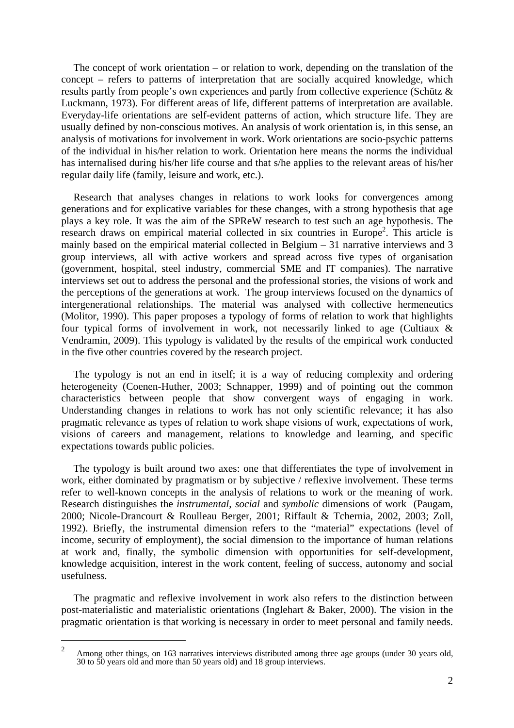The concept of work orientation – or relation to work, depending on the translation of the concept – refers to patterns of interpretation that are socially acquired knowledge, which results partly from people's own experiences and partly from collective experience (Schütz & Luckmann, 1973). For different areas of life, different patterns of interpretation are available. Everyday-life orientations are self-evident patterns of action, which structure life. They are usually defined by non-conscious motives. An analysis of work orientation is, in this sense, an analysis of motivations for involvement in work. Work orientations are socio-psychic patterns of the individual in his/her relation to work. Orientation here means the norms the individual has internalised during his/her life course and that s/he applies to the relevant areas of his/her regular daily life (family, leisure and work, etc.).

Research that analyses changes in relations to work looks for convergences among generations and for explicative variables for these changes, with a strong hypothesis that age plays a key role. It was the aim of the SPReW research to test such an age hypothesis. The research draws on empirical material collected in six countries in Europe<sup>2</sup>. This article is mainly based on the empirical material collected in Belgium – 31 narrative interviews and 3 group interviews, all with active workers and spread across five types of organisation (government, hospital, steel industry, commercial SME and IT companies). The narrative interviews set out to address the personal and the professional stories, the visions of work and the perceptions of the generations at work. The group interviews focused on the dynamics of intergenerational relationships. The material was analysed with collective hermeneutics (Molitor, 1990). This paper proposes a typology of forms of relation to work that highlights four typical forms of involvement in work, not necessarily linked to age (Cultiaux & Vendramin, 2009). This typology is validated by the results of the empirical work conducted in the five other countries covered by the research project.

The typology is not an end in itself; it is a way of reducing complexity and ordering heterogeneity (Coenen-Huther, 2003; Schnapper, 1999) and of pointing out the common characteristics between people that show convergent ways of engaging in work. Understanding changes in relations to work has not only scientific relevance; it has also pragmatic relevance as types of relation to work shape visions of work, expectations of work, visions of careers and management, relations to knowledge and learning, and specific expectations towards public policies.

The typology is built around two axes: one that differentiates the type of involvement in work, either dominated by pragmatism or by subjective / reflexive involvement. These terms refer to well-known concepts in the analysis of relations to work or the meaning of work. Research distinguishes the *instrumental*, *social* and *symbolic* dimensions of work (Paugam, 2000; Nicole-Drancourt & Roulleau Berger, 2001; Riffault & Tchernia, 2002, 2003; Zoll, 1992). Briefly, the instrumental dimension refers to the "material" expectations (level of income, security of employment), the social dimension to the importance of human relations at work and, finally, the symbolic dimension with opportunities for self-development, knowledge acquisition, interest in the work content, feeling of success, autonomy and social usefulness.

The pragmatic and reflexive involvement in work also refers to the distinction between post-materialistic and materialistic orientations (Inglehart & Baker, 2000). The vision in the pragmatic orientation is that working is necessary in order to meet personal and family needs.

 $\overline{\phantom{a}}$ 

 $\overline{2}$  Among other things, on 163 narratives interviews distributed among three age groups (under 30 years old, 30 to 50 years old and more than 50 years old) and 18 group interviews.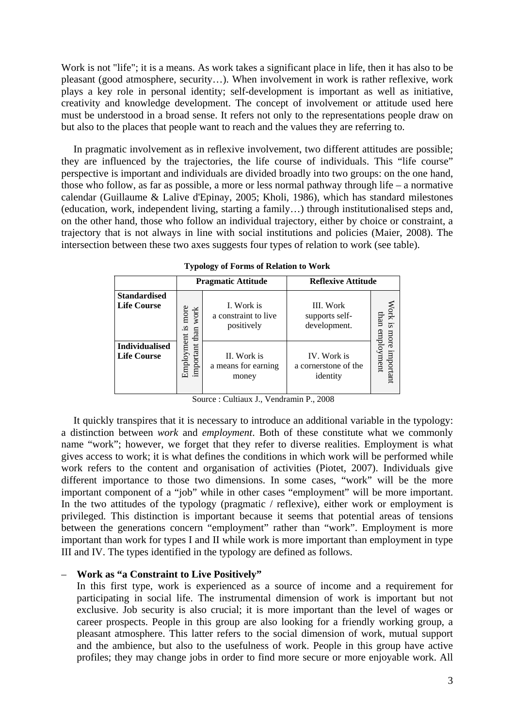Work is not "life"; it is a means. As work takes a significant place in life, then it has also to be pleasant (good atmosphere, security…). When involvement in work is rather reflexive, work plays a key role in personal identity; self-development is important as well as initiative, creativity and knowledge development. The concept of involvement or attitude used here must be understood in a broad sense. It refers not only to the representations people draw on but also to the places that people want to reach and the values they are referring to.

In pragmatic involvement as in reflexive involvement, two different attitudes are possible; they are influenced by the trajectories, the life course of individuals. This "life course" perspective is important and individuals are divided broadly into two groups: on the one hand, those who follow, as far as possible, a more or less normal pathway through life – a normative calendar (Guillaume & Lalive d'Epinay, 2005; Kholi, 1986), which has standard milestones (education, work, independent living, starting a family…) through institutionalised steps and, on the other hand, those who follow an individual trajectory, either by choice or constraint, a trajectory that is not always in line with social institutions and policies (Maier, 2008). The intersection between these two axes suggests four types of relation to work (see table).

|                                             |                              | <b>Pragmatic Attitude</b>                        | <b>Reflexive Attitude</b>                       |                         |
|---------------------------------------------|------------------------------|--------------------------------------------------|-------------------------------------------------|-------------------------|
| <b>Standardised</b><br><b>Life Course</b>   | more<br>work<br>si.          | I. Work is<br>a constraint to live<br>positively | III. Work<br>supports self-<br>development.     | Work is<br>than<br>more |
| <b>Individualised</b><br><b>Life Course</b> | important than<br>Employment | II. Work is<br>a means for earning<br>money      | IV. Work is<br>a cornerstone of the<br>identity | employment<br>important |

**Typology of Forms of Relation to Work** 

Source : Cultiaux J., Vendramin P., 2008

It quickly transpires that it is necessary to introduce an additional variable in the typology: a distinction between *work* and *employment*. Both of these constitute what we commonly name "work"; however, we forget that they refer to diverse realities. Employment is what gives access to work; it is what defines the conditions in which work will be performed while work refers to the content and organisation of activities (Piotet, 2007). Individuals give different importance to those two dimensions. In some cases, "work" will be the more important component of a "job" while in other cases "employment" will be more important. In the two attitudes of the typology (pragmatic / reflexive), either work or employment is privileged. This distinction is important because it seems that potential areas of tensions between the generations concern "employment" rather than "work". Employment is more important than work for types I and II while work is more important than employment in type III and IV. The types identified in the typology are defined as follows.

#### – **Work as "a Constraint to Live Positively"**

In this first type, work is experienced as a source of income and a requirement for participating in social life. The instrumental dimension of work is important but not exclusive. Job security is also crucial; it is more important than the level of wages or career prospects. People in this group are also looking for a friendly working group, a pleasant atmosphere. This latter refers to the social dimension of work, mutual support and the ambience, but also to the usefulness of work. People in this group have active profiles; they may change jobs in order to find more secure or more enjoyable work. All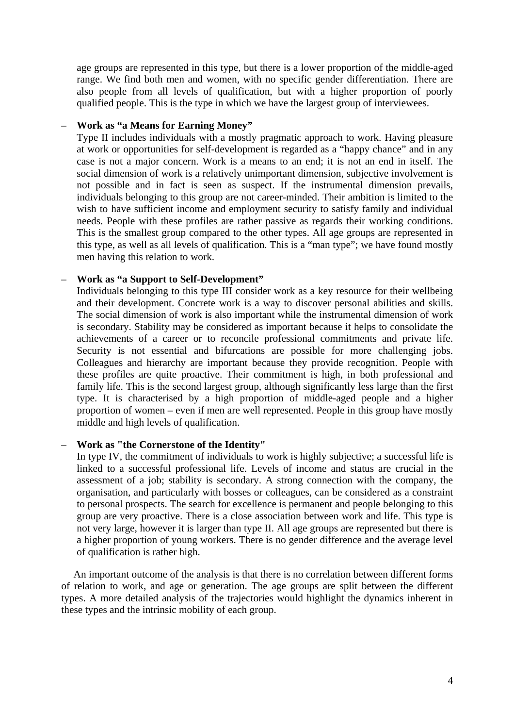age groups are represented in this type, but there is a lower proportion of the middle-aged range. We find both men and women, with no specific gender differentiation. There are also people from all levels of qualification, but with a higher proportion of poorly qualified people. This is the type in which we have the largest group of interviewees.

#### – **Work as "a Means for Earning Money"**

Type II includes individuals with a mostly pragmatic approach to work. Having pleasure at work or opportunities for self-development is regarded as a "happy chance" and in any case is not a major concern. Work is a means to an end; it is not an end in itself. The social dimension of work is a relatively unimportant dimension, subjective involvement is not possible and in fact is seen as suspect. If the instrumental dimension prevails, individuals belonging to this group are not career-minded. Their ambition is limited to the wish to have sufficient income and employment security to satisfy family and individual needs. People with these profiles are rather passive as regards their working conditions. This is the smallest group compared to the other types. All age groups are represented in this type, as well as all levels of qualification. This is a "man type"; we have found mostly men having this relation to work.

## – **Work as "a Support to Self-Development"**

Individuals belonging to this type III consider work as a key resource for their wellbeing and their development. Concrete work is a way to discover personal abilities and skills. The social dimension of work is also important while the instrumental dimension of work is secondary. Stability may be considered as important because it helps to consolidate the achievements of a career or to reconcile professional commitments and private life. Security is not essential and bifurcations are possible for more challenging jobs. Colleagues and hierarchy are important because they provide recognition. People with these profiles are quite proactive. Their commitment is high, in both professional and family life. This is the second largest group, although significantly less large than the first type. It is characterised by a high proportion of middle-aged people and a higher proportion of women – even if men are well represented. People in this group have mostly middle and high levels of qualification.

# – **Work as "the Cornerstone of the Identity"**

In type IV, the commitment of individuals to work is highly subjective; a successful life is linked to a successful professional life. Levels of income and status are crucial in the assessment of a job; stability is secondary. A strong connection with the company, the organisation, and particularly with bosses or colleagues, can be considered as a constraint to personal prospects. The search for excellence is permanent and people belonging to this group are very proactive. There is a close association between work and life. This type is not very large, however it is larger than type II. All age groups are represented but there is a higher proportion of young workers. There is no gender difference and the average level of qualification is rather high.

An important outcome of the analysis is that there is no correlation between different forms of relation to work, and age or generation. The age groups are split between the different types. A more detailed analysis of the trajectories would highlight the dynamics inherent in these types and the intrinsic mobility of each group.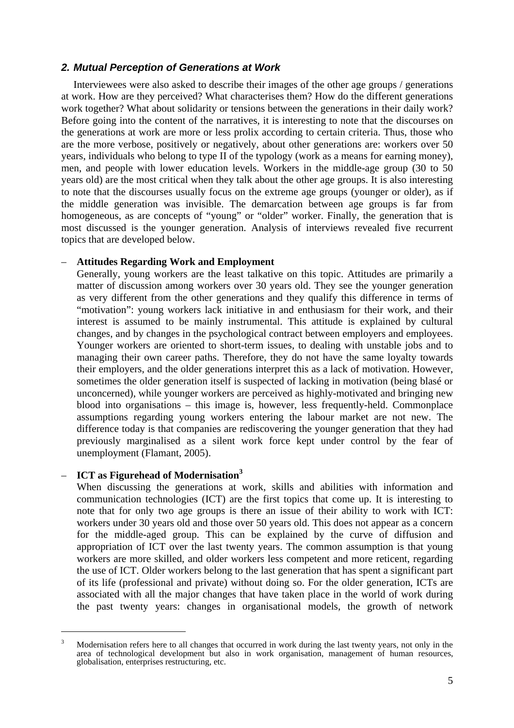## *2. Mutual Perception of Generations at Work*

Interviewees were also asked to describe their images of the other age groups / generations at work. How are they perceived? What characterises them? How do the different generations work together? What about solidarity or tensions between the generations in their daily work? Before going into the content of the narratives, it is interesting to note that the discourses on the generations at work are more or less prolix according to certain criteria. Thus, those who are the more verbose, positively or negatively, about other generations are: workers over 50 years, individuals who belong to type II of the typology (work as a means for earning money), men, and people with lower education levels. Workers in the middle-age group (30 to 50 years old) are the most critical when they talk about the other age groups. It is also interesting to note that the discourses usually focus on the extreme age groups (younger or older), as if the middle generation was invisible. The demarcation between age groups is far from homogeneous, as are concepts of "young" or "older" worker. Finally, the generation that is most discussed is the younger generation. Analysis of interviews revealed five recurrent topics that are developed below.

## – **Attitudes Regarding Work and Employment**

Generally, young workers are the least talkative on this topic. Attitudes are primarily a matter of discussion among workers over 30 years old. They see the younger generation as very different from the other generations and they qualify this difference in terms of "motivation": young workers lack initiative in and enthusiasm for their work, and their interest is assumed to be mainly instrumental. This attitude is explained by cultural changes, and by changes in the psychological contract between employers and employees. Younger workers are oriented to short-term issues, to dealing with unstable jobs and to managing their own career paths. Therefore, they do not have the same loyalty towards their employers, and the older generations interpret this as a lack of motivation. However, sometimes the older generation itself is suspected of lacking in motivation (being blasé or unconcerned), while younger workers are perceived as highly-motivated and bringing new blood into organisations – this image is, however, less frequently-held. Commonplace assumptions regarding young workers entering the labour market are not new. The difference today is that companies are rediscovering the younger generation that they had previously marginalised as a silent work force kept under control by the fear of unemployment (Flamant, 2005).

## – **ICT as Figurehead of Modernisation<sup>3</sup>**

 $\overline{\phantom{a}}$ 

When discussing the generations at work, skills and abilities with information and communication technologies (ICT) are the first topics that come up. It is interesting to note that for only two age groups is there an issue of their ability to work with ICT: workers under 30 years old and those over 50 years old. This does not appear as a concern for the middle-aged group. This can be explained by the curve of diffusion and appropriation of ICT over the last twenty years. The common assumption is that young workers are more skilled, and older workers less competent and more reticent, regarding the use of ICT. Older workers belong to the last generation that has spent a significant part of its life (professional and private) without doing so. For the older generation, ICTs are associated with all the major changes that have taken place in the world of work during the past twenty years: changes in organisational models, the growth of network

<sup>3</sup> Modernisation refers here to all changes that occurred in work during the last twenty years, not only in the area of technological development but also in work organisation, management of human resources, globalisation, enterprises restructuring, etc.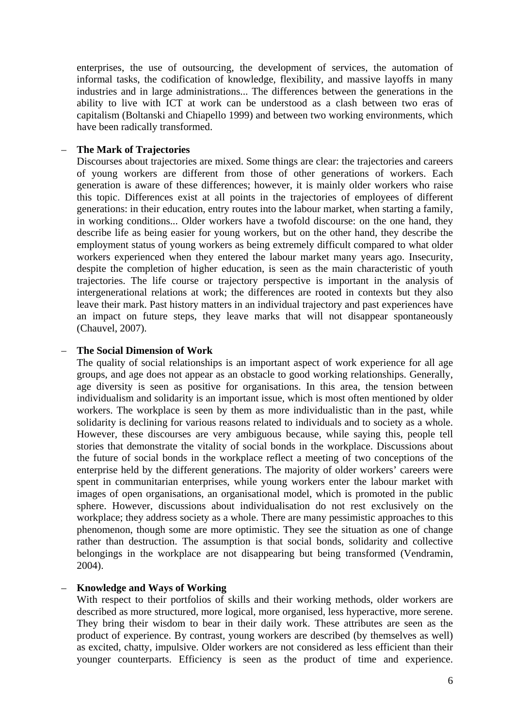enterprises, the use of outsourcing, the development of services, the automation of informal tasks, the codification of knowledge, flexibility, and massive layoffs in many industries and in large administrations... The differences between the generations in the ability to live with ICT at work can be understood as a clash between two eras of capitalism (Boltanski and Chiapello 1999) and between two working environments, which have been radically transformed.

#### – **The Mark of Trajectories**

Discourses about trajectories are mixed. Some things are clear: the trajectories and careers of young workers are different from those of other generations of workers. Each generation is aware of these differences; however, it is mainly older workers who raise this topic. Differences exist at all points in the trajectories of employees of different generations: in their education, entry routes into the labour market, when starting a family, in working conditions... Older workers have a twofold discourse: on the one hand, they describe life as being easier for young workers, but on the other hand, they describe the employment status of young workers as being extremely difficult compared to what older workers experienced when they entered the labour market many years ago. Insecurity, despite the completion of higher education, is seen as the main characteristic of youth trajectories. The life course or trajectory perspective is important in the analysis of intergenerational relations at work; the differences are rooted in contexts but they also leave their mark. Past history matters in an individual trajectory and past experiences have an impact on future steps, they leave marks that will not disappear spontaneously (Chauvel, 2007).

#### – **The Social Dimension of Work**

The quality of social relationships is an important aspect of work experience for all age groups, and age does not appear as an obstacle to good working relationships. Generally, age diversity is seen as positive for organisations. In this area, the tension between individualism and solidarity is an important issue, which is most often mentioned by older workers. The workplace is seen by them as more individualistic than in the past, while solidarity is declining for various reasons related to individuals and to society as a whole. However, these discourses are very ambiguous because, while saying this, people tell stories that demonstrate the vitality of social bonds in the workplace. Discussions about the future of social bonds in the workplace reflect a meeting of two conceptions of the enterprise held by the different generations. The majority of older workers' careers were spent in communitarian enterprises, while young workers enter the labour market with images of open organisations, an organisational model, which is promoted in the public sphere. However, discussions about individualisation do not rest exclusively on the workplace; they address society as a whole. There are many pessimistic approaches to this phenomenon, though some are more optimistic. They see the situation as one of change rather than destruction. The assumption is that social bonds, solidarity and collective belongings in the workplace are not disappearing but being transformed (Vendramin, 2004).

## – **Knowledge and Ways of Working**

With respect to their portfolios of skills and their working methods, older workers are described as more structured, more logical, more organised, less hyperactive, more serene. They bring their wisdom to bear in their daily work. These attributes are seen as the product of experience. By contrast, young workers are described (by themselves as well) as excited, chatty, impulsive. Older workers are not considered as less efficient than their younger counterparts. Efficiency is seen as the product of time and experience.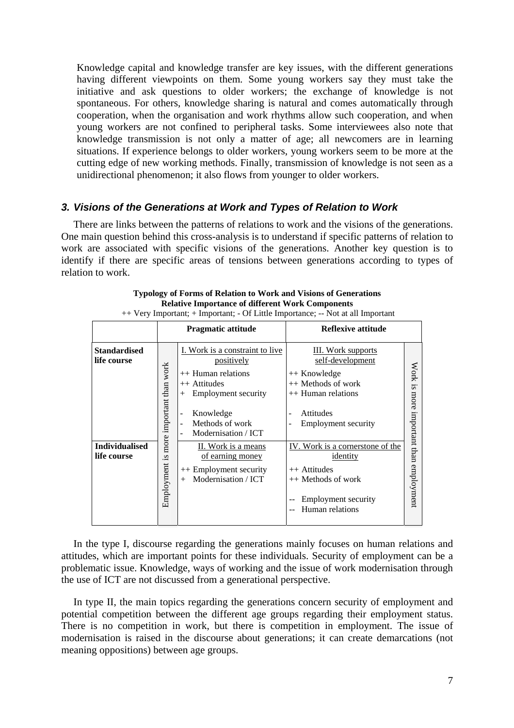Knowledge capital and knowledge transfer are key issues, with the different generations having different viewpoints on them. Some young workers say they must take the initiative and ask questions to older workers; the exchange of knowledge is not spontaneous. For others, knowledge sharing is natural and comes automatically through cooperation, when the organisation and work rhythms allow such cooperation, and when young workers are not confined to peripheral tasks. Some interviewees also note that knowledge transmission is not only a matter of age; all newcomers are in learning situations. If experience belongs to older workers, young workers seem to be more at the cutting edge of new working methods. Finally, transmission of knowledge is not seen as a unidirectional phenomenon; it also flows from younger to older workers.

## *3. Visions of the Generations at Work and Types of Relation to Work*

There are links between the patterns of relations to work and the visions of the generations. One main question behind this cross-analysis is to understand if specific patterns of relation to work are associated with specific visions of the generations. Another key question is to identify if there are specific areas of tensions between generations according to types of relation to work.

|                                                                     | <b>Pragmatic attitude</b>              |                                                                                                                                                                                                                                                                                                                                                                      | <b>Reflexive attitude</b>                                                                                                                                                                                                                                                  |                                                                |
|---------------------------------------------------------------------|----------------------------------------|----------------------------------------------------------------------------------------------------------------------------------------------------------------------------------------------------------------------------------------------------------------------------------------------------------------------------------------------------------------------|----------------------------------------------------------------------------------------------------------------------------------------------------------------------------------------------------------------------------------------------------------------------------|----------------------------------------------------------------|
| Standardised<br>life course<br><b>Individualised</b><br>life course | Employment is more important than work | I. Work is a constraint to live<br>positively<br>$++$ Human relations<br>++ Attitudes<br>Employment security<br>$^{+}$<br>Knowledge<br>$\overline{\phantom{a}}$<br>Methods of work<br>$\overline{\phantom{a}}$<br>Modernisation / ICT<br>$\overline{\phantom{a}}$<br>II. Work is a means<br>of earning money<br>++ Employment security<br>Modernisation / ICT<br>$+$ | <b>III.</b> Work supports<br>self-development<br>++ Knowledge<br>++ Methods of work<br>$++$ Human relations<br>Attitudes<br><b>Employment security</b><br>IV. Work is a cornerstone of the<br>identity<br>++ Attitudes<br>++ Methods of work<br><b>Employment security</b> | Work<br>S <sub>i</sub><br>more<br>important than<br>employment |
|                                                                     |                                        |                                                                                                                                                                                                                                                                                                                                                                      | Human relations                                                                                                                                                                                                                                                            |                                                                |

| Typology of Forms of Relation to Work and Visions of Generations                |
|---------------------------------------------------------------------------------|
| <b>Relative Importance of different Work Components</b>                         |
| ++ Very Important; + Important; - Of Little Importance; -- Not at all Important |

In the type I, discourse regarding the generations mainly focuses on human relations and attitudes, which are important points for these individuals. Security of employment can be a problematic issue. Knowledge, ways of working and the issue of work modernisation through the use of ICT are not discussed from a generational perspective.

In type II, the main topics regarding the generations concern security of employment and potential competition between the different age groups regarding their employment status. There is no competition in work, but there is competition in employment. The issue of modernisation is raised in the discourse about generations; it can create demarcations (not meaning oppositions) between age groups.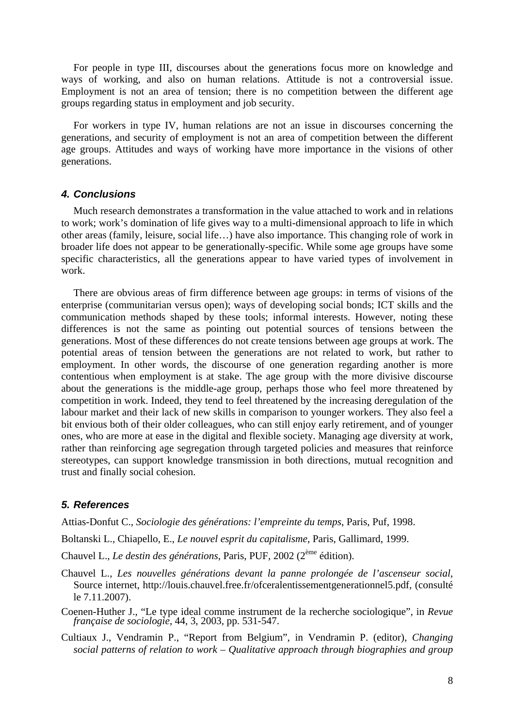For people in type III, discourses about the generations focus more on knowledge and ways of working, and also on human relations. Attitude is not a controversial issue. Employment is not an area of tension; there is no competition between the different age groups regarding status in employment and job security.

For workers in type IV, human relations are not an issue in discourses concerning the generations, and security of employment is not an area of competition between the different age groups. Attitudes and ways of working have more importance in the visions of other generations.

#### *4. Conclusions*

Much research demonstrates a transformation in the value attached to work and in relations to work; work's domination of life gives way to a multi-dimensional approach to life in which other areas (family, leisure, social life…) have also importance. This changing role of work in broader life does not appear to be generationally-specific. While some age groups have some specific characteristics, all the generations appear to have varied types of involvement in work.

There are obvious areas of firm difference between age groups: in terms of visions of the enterprise (communitarian versus open); ways of developing social bonds; ICT skills and the communication methods shaped by these tools; informal interests. However, noting these differences is not the same as pointing out potential sources of tensions between the generations. Most of these differences do not create tensions between age groups at work. The potential areas of tension between the generations are not related to work, but rather to employment. In other words, the discourse of one generation regarding another is more contentious when employment is at stake. The age group with the more divisive discourse about the generations is the middle-age group, perhaps those who feel more threatened by competition in work. Indeed, they tend to feel threatened by the increasing deregulation of the labour market and their lack of new skills in comparison to younger workers. They also feel a bit envious both of their older colleagues, who can still enjoy early retirement, and of younger ones, who are more at ease in the digital and flexible society. Managing age diversity at work, rather than reinforcing age segregation through targeted policies and measures that reinforce stereotypes, can support knowledge transmission in both directions, mutual recognition and trust and finally social cohesion.

#### *5. References*

Attias-Donfut C., *Sociologie des générations: l'empreinte du temps*, Paris, Puf, 1998.

Boltanski L., Chiapello, E., *Le nouvel esprit du capitalisme*, Paris, Gallimard, 1999.

- Chauvel L., *Le destin des générations*, Paris, PUF, 2002 (2ème édition).
- Chauvel L., *Les nouvelles générations devant la panne prolongée de l'ascenseur social*, Source internet, http://louis.chauvel.free.fr/ofceralentissementgenerationnel5.pdf, (consulté le 7.11.2007).
- Coenen-Huther J., "Le type ideal comme instrument de la recherche sociologique", in *Revue française de sociologie*, 44, 3, 2003, pp. 531-547.
- Cultiaux J., Vendramin P., "Report from Belgium", in Vendramin P. (editor), *Changing social patterns of relation to work – Qualitative approach through biographies and group*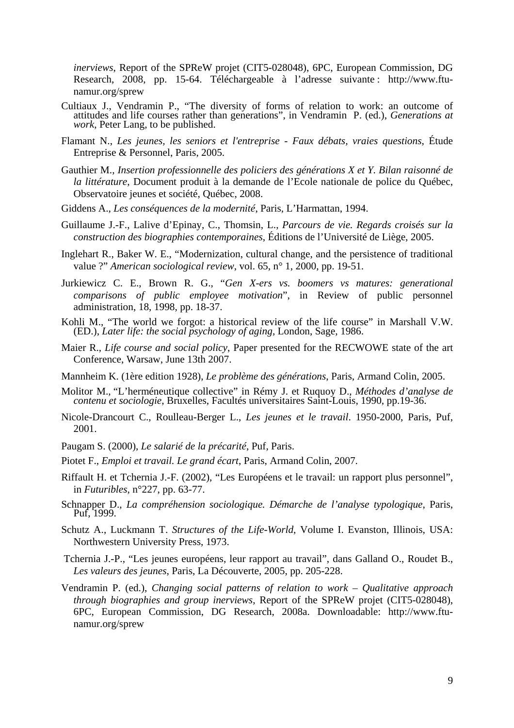*inerviews*, Report of the SPReW projet (CIT5-028048), 6PC, European Commission, DG Research, 2008, pp. 15-64. Téléchargeable à l'adresse suivante : http://www.ftunamur.org/sprew

- Cultiaux J., Vendramin P., "The diversity of forms of relation to work: an outcome of attitudes and life courses rather than generations", in Vendramin P. (ed.), *Generations at work*, Peter Lang, to be published.
- Flamant N., *Les jeunes, les seniors et l'entreprise Faux débats, vraies questions*, Étude Entreprise & Personnel, Paris, 2005.
- Gauthier M., *Insertion professionnelle des policiers des générations X et Y. Bilan raisonné de la littérature*, Document produit à la demande de l'Ecole nationale de police du Québec, Observatoire jeunes et société, Québec, 2008.
- Giddens A., *Les conséquences de la modernité*, Paris, L'Harmattan, 1994.
- Guillaume J.-F., Lalive d'Epinay, C., Thomsin, L., *Parcours de vie. Regards croisés sur la construction des biographies contemporaines*, Éditions de l'Université de Liège, 2005.
- Inglehart R., Baker W. E., "Modernization, cultural change, and the persistence of traditional value ?" *American sociological review*, vol. 65, n° 1, 2000, pp. 19-51.
- Jurkiewicz C. E., Brown R. G., "*Gen X-ers vs. boomers vs matures: generational comparisons of public employee motivation*", in Review of public personnel administration, 18, 1998, pp. 18-37.
- Kohli M., "The world we forgot: a historical review of the life course" in Marshall V.W. (ED.), *Later life: the social psychology of aging*, London, Sage, 1986.
- Maier R., *Life course and social policy*, Paper presented for the RECWOWE state of the art Conference, Warsaw, June 13th 2007.
- Mannheim K. (1ère edition 1928), *Le problème des générations*, Paris, Armand Colin, 2005.
- Molitor M., "L'herméneutique collective" in Rémy J. et Ruquoy D., *Méthodes d'analyse de contenu et sociologie*, Bruxelles, Facultés universitaires Saint-Louis, 1990, pp.19-36.
- Nicole-Drancourt C., Roulleau-Berger L., *Les jeunes et le travail*. 1950-2000, Paris, Puf, 2001.
- Paugam S. (2000), *Le salarié de la précarité*, Puf, Paris.
- Piotet F., *Emploi et travail. Le grand écart*, Paris, Armand Colin, 2007.
- Riffault H. et Tchernia J.-F. (2002), "Les Européens et le travail: un rapport plus personnel", in *Futuribles*, n°227, pp. 63-77.
- Schnapper D., *La compréhension sociologique. Démarche de l'analyse typologique*, Paris, Puf, 1999.
- Schutz A., Luckmann T. *Structures of the Life-World*, Volume I. Evanston, Illinois, USA: Northwestern University Press, 1973.
- Tchernia J.-P., "Les jeunes européens, leur rapport au travail", dans Galland O., Roudet B., *Les valeurs des jeunes*, Paris, La Découverte, 2005, pp. 205-228.
- Vendramin P. (ed.), *Changing social patterns of relation to work Qualitative approach through biographies and group inerviews*, Report of the SPReW projet (CIT5-028048), 6PC, European Commission, DG Research, 2008a. Downloadable: http://www.ftunamur.org/sprew